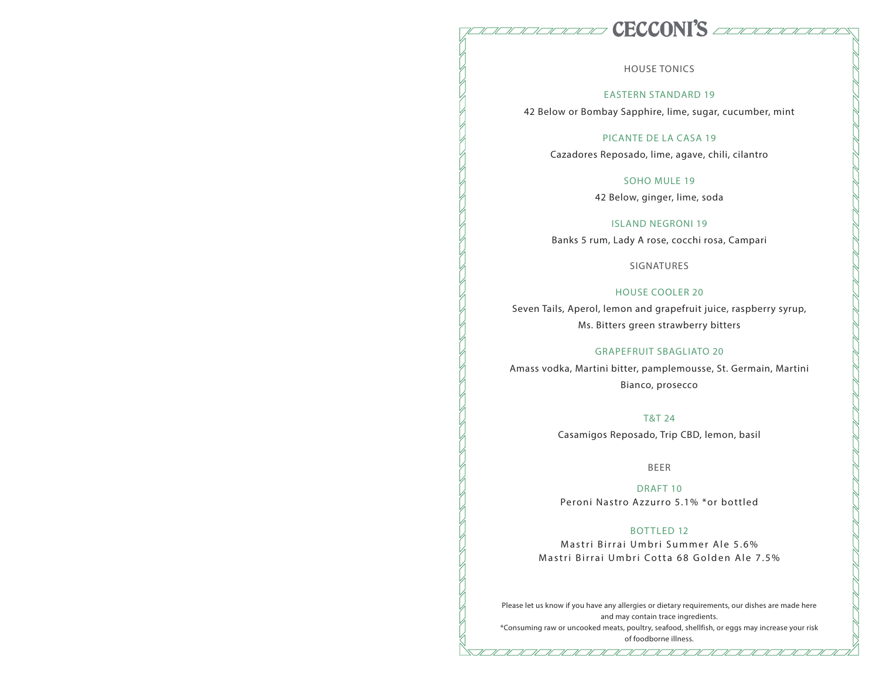### **CECCONI'S** advised the  $\begin{array}{c} \begin{array}{c} \text{\textit{N}} \text{\textit{N}} \text{\textit{N}} \text{\textit{N}} \text{\textit{N}} \text{\textit{N}} \text{\textit{N}} \text{\textit{N}} \end{array} \end{array}$

HOUSE TONICS

### EASTERN STANDARD 19

42 Below or Bombay Sapphire, lime, sugar, cucumber, mint

### PICANTE DE LA CASA 19

Cazadores Reposado, lime, agave, chili, cilantro

### SOHO MULE 19

42 Below, ginger, lime, soda

#### ISLAND NEGRONI 19

Banks 5 rum, Lady A rose, cocchi rosa, Campari

SIGNATURES

### HOUSE COOLER 20

Seven Tails, Aperol, lemon and grapefruit juice, raspberry syrup, Ms. Bitters green strawberry bitters

### GRAPEFRUIT SBAGLIATO 20

Amass vodka, Martini bitter, pamplemousse, St. Germain, Martini Bianco, prosecco

### T&T 24

Casamigos Reposado, Trip CBD, lemon, basil

### BEER

DRAFT 10 Peroni Nastro Azzurro 5.1% \*or bottled

### BOTTLED 12

Mastri Birrai Umbri Summer Ale 5.6% Mastri Birrai Umbri Cotta 68 Golden Ale 7.5%

Please let us know if you have any allergies or dietary requirements, our dishes are made here and may contain trace ingredients.

\*Consuming raw or uncooked meats, poultry, seafood, shellfish, or eggs may increase your risk of foodborne illness.

 $\frac{1}{\sqrt{2}}$ 

 $\overline{\mathscr{L}}$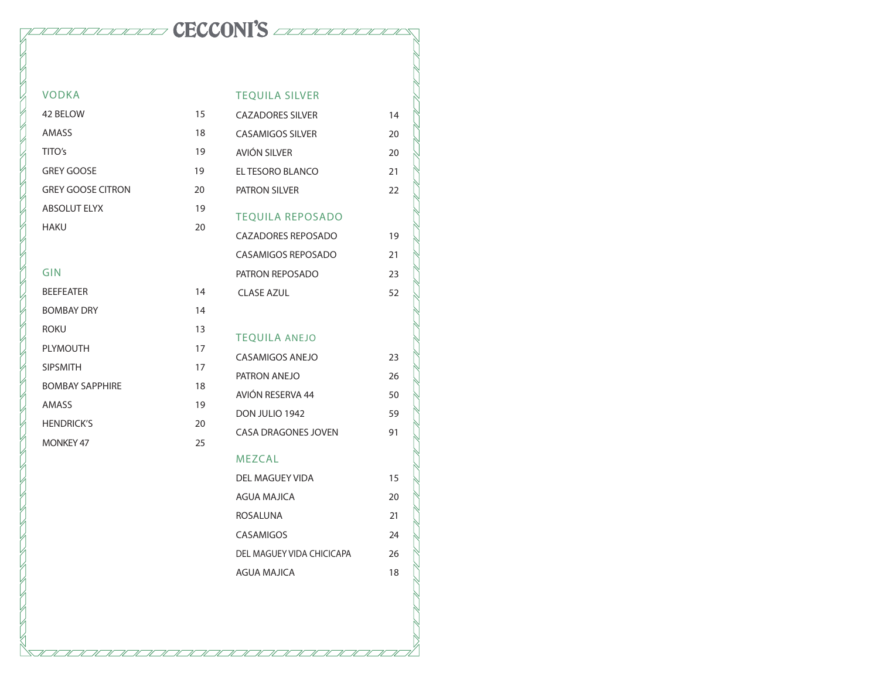# www.coming CECCONI'S accountance

| <b>VODKA</b>             |    | <b>TEQUILA SILVER</b>      |    |
|--------------------------|----|----------------------------|----|
| 42 BELOW                 | 15 | <b>CAZADORES SILVER</b>    | 14 |
| AMASS                    | 18 | <b>CASAMIGOS SILVER</b>    | 20 |
| TITO's                   | 19 | AVIÓN SILVER               | 20 |
| <b>GREY GOOSE</b>        | 19 | EL TESORO BLANCO           | 21 |
| <b>GREY GOOSE CITRON</b> | 20 | PATRON SILVER              | 22 |
| <b>ABSOLUT ELYX</b>      | 19 | <b>TEQUILA REPOSADO</b>    |    |
| <b>HAKU</b>              | 20 | <b>CAZADORES REPOSADO</b>  | 19 |
|                          |    | <b>CASAMIGOS REPOSADO</b>  | 21 |
| <b>GIN</b>               |    | PATRON REPOSADO            | 23 |
| <b>BEEFEATER</b>         | 14 | <b>CLASE AZUL</b>          | 52 |
| <b>BOMBAY DRY</b>        | 14 |                            |    |
| <b>ROKU</b>              | 13 | <b>TEQUILA ANEJO</b>       |    |
| <b>PLYMOUTH</b>          | 17 | <b>CASAMIGOS ANEJO</b>     | 23 |
| <b>SIPSMITH</b>          | 17 | PATRON ANEJO               | 26 |
| <b>BOMBAY SAPPHIRE</b>   | 18 | AVIÓN RESERVA 44           | 50 |
| AMASS                    | 19 |                            | 59 |
| <b>HENDRICK'S</b>        | 20 | DON JULIO 1942             |    |
| <b>MONKEY 47</b>         | 25 | <b>CASA DRAGONES JOVEN</b> | 91 |
|                          |    | <b>MEZCAL</b>              |    |
|                          |    | <b>DEL MAGUEY VIDA</b>     | 15 |
|                          |    | <b>AGUA MAJICA</b>         | 20 |
|                          |    | <b>ROSALUNA</b>            | 21 |
|                          |    | <b>CASAMIGOS</b>           | 24 |
|                          |    | DEL MAGUEY VIDA CHICICAPA  | 26 |

AGUA MAJICA 18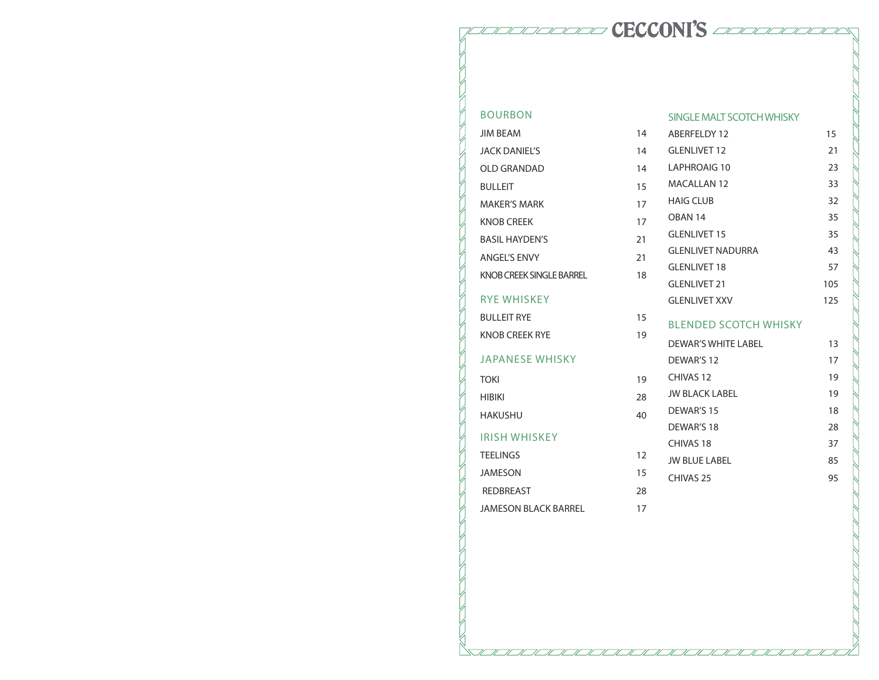# 10000000000 CECCONI'S 000000000000

# BOURBON **JIM BEAM**

| JACK DANIFI'S             | 14 |
|---------------------------|----|
| OLD GRANDAD               | 14 |
| <b>BULLEIT</b>            | 15 |
| <b>MAKFR'S MARK</b>       | 17 |
| <b>KNOB CREEK</b>         | 17 |
| <b>BASIL HAYDEN'S</b>     | 21 |
| <b>ANGEL'S ENVY</b>       | 21 |
| KNOB CREEK SINGI E BARREI | 18 |
| <b>RYE WHISKEY</b>        |    |
| <b>BULLEIT RYF</b>        | 15 |
| <b>KNOB CREEK RYE</b>     | 19 |
| <b>JAPANESE WHISKY</b>    |    |
| <b>TOKI</b>               | 19 |
| <b>HIBIKI</b>             | 28 |
| HAKUSHU                   | 40 |
| IRISH WHISKEY             |    |

### SINGLE MALT SCOTCH WHISKY

14 ABERFELDY 12 15

| <b>JACK DANIEL'S</b>            | 14 | <b>GLENLIVET 12</b>           | 21  |
|---------------------------------|----|-------------------------------|-----|
| <b>OLD GRANDAD</b>              | 14 | LAPHROAIG 10                  | 23  |
| <b>BULLEIT</b>                  | 15 | <b>MACALLAN 12</b>            | 33  |
| <b>MAKER'S MARK</b>             | 17 | <b>HAIG CLUB</b>              | 32  |
| <b>KNOB CREEK</b>               | 17 | OBAN <sub>14</sub>            | 35  |
| <b>BASIL HAYDEN'S</b>           | 21 | <b>GLENLIVET 15</b>           | 35  |
| <b>ANGEL'S ENVY</b>             | 21 | <b>GLENLIVET NADURRA</b>      | 43  |
| <b>KNOB CREEK SINGLE BARREL</b> | 18 | <b>GLENLIVET 18</b>           | 57  |
|                                 |    | <b>GLENLIVET 21</b>           | 105 |
| <b>RYE WHISKEY</b>              |    | <b>GLENLIVET XXV</b>          | 125 |
| <b>BULLEIT RYE</b>              | 15 | <b>BI ENDED SCOTCH WHISKY</b> |     |
| <b>KNOB CREEK RYE</b>           | 19 | <b>DEWAR'S WHITE LABEL</b>    | 13  |
| <b>JAPANESE WHISKY</b>          |    | DEWAR'S 12                    | 17  |
| <b>TOKI</b>                     | 19 | CHIVAS <sub>12</sub>          | 19  |
| <b>HIBIKI</b>                   | 28 | <b>JW BLACK LABEL</b>         | 19  |
| <b>HAKUSHU</b>                  | 40 | DEWAR'S 15                    | 18  |
|                                 |    | DEWAR'S 18                    | 28  |
| <b>IRISH WHISKEY</b>            |    | CHIVAS <sub>18</sub>          | 37  |
| <b>TEELINGS</b>                 | 12 | <b>JW BLUE LABEL</b>          | 85  |
| <b>JAMESON</b>                  | 15 | CHIVAS <sub>25</sub>          | 95  |
| <b>REDBREAST</b>                | 28 |                               |     |
| <b>JAMESON BLACK BARREL</b>     | 17 |                               |     |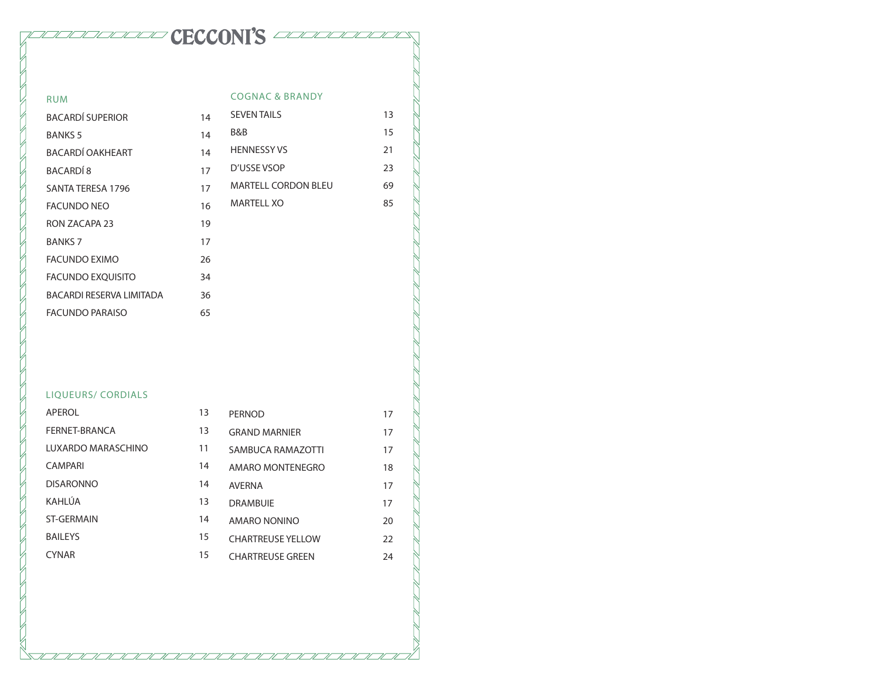# TELEVISION'S ECCONT'S

### RUM BACARDÍ SUPERIOR 14 BANKS 5 14 BACARDÍ OAKHEART 14 BACARDÍ 8 17 SANTA TERESA 1796 17 FACUNDO NEO 16 RON ZACAPA 23 19 BANKS 7 17 FACUNDO EXIMO 26 FACUNDO EXQUISITO 34 BACARDI RESERVA LIMITADA 36 FACUNDO PARAISO 65 COGNAC & BRANDY SEVEN TAILS 13 B&B 15 HENNESSY VS 21 D'USSE VSOP 23 MARTELL CORDON BLEU
(69) MARTELL XO 85

### LIQUEURS/ CORDIALS

| APEROL             | 13 | <b>PERNOD</b>            | 17 |
|--------------------|----|--------------------------|----|
| FERNET-BRANCA      | 13 | <b>GRAND MARNIER</b>     | 17 |
| LUXARDO MARASCHINO | 11 | SAMBUCA RAMAZOTTI        | 17 |
| <b>CAMPARI</b>     | 14 | AMARO MONTENEGRO         | 18 |
| <b>DISARONNO</b>   | 14 | <b>AVFRNA</b>            | 17 |
| KAHLÚA             | 13 | <b>DRAMBUIF</b>          | 17 |
| <b>ST-GERMAIN</b>  | 14 | AMARO NONINO             | 20 |
| <b>BAILEYS</b>     | 15 | <b>CHARTREUSE YELLOW</b> | 22 |
| <b>CYNAR</b>       | 15 | <b>CHARTREUSE GREEN</b>  | 24 |
|                    |    |                          |    |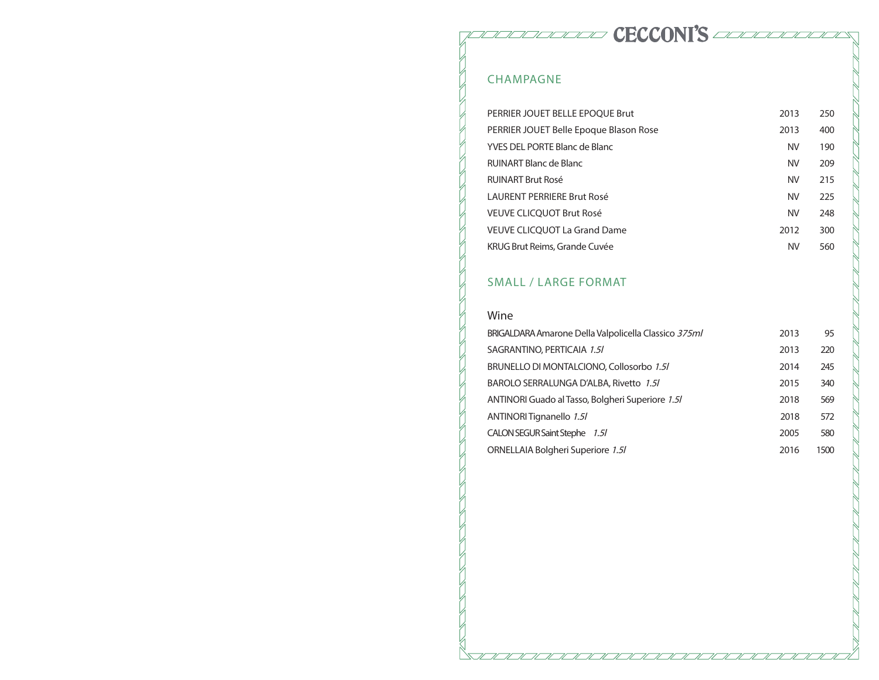PULULULULULU CECCONI'S AAAAAAAAA

# CHAMPAGNE

| PERRIER JOUET BELLE EPOOUE Brut        | 2013      | 250 |
|----------------------------------------|-----------|-----|
| PERRIER JOUET Belle Epoque Blason Rose | 2013      | 400 |
| YVES DEL PORTE Blanc de Blanc          | <b>NV</b> | 190 |
| RUINART Blanc de Blanc                 | <b>NV</b> | 209 |
| <b>RUINART Brut Rosé</b>               | <b>NV</b> | 215 |
| LAURENT PERRIFRE Brut Rosé             | <b>NV</b> | 225 |
| VEUVE CLICOUOT Brut Rosé               | <b>NV</b> | 248 |
| <b>VEUVE CLICQUOT La Grand Dame</b>    | 2012      | 300 |
| KRUG Brut Reims, Grande Cuvée          | <b>NV</b> | 560 |

# SMALL / LARGE FORMAT

7/7/7/7/7/

 $\overline{\mathscr{N}}$ 

### Wine

| BRIGALDARA Amarone Della Valpolicella Classico 375ml | 2013 | 95   |
|------------------------------------------------------|------|------|
| SAGRANTINO, PERTICAIA 1.5/                           | 2013 | 220  |
| BRUNELLO DI MONTALCIONO, Collosorbo 1.5/             | 2014 | 245  |
| BAROLO SERRALUNGA D'ALBA, Rivetto 1.5/               | 2015 | 340  |
| ANTINORI Guado al Tasso, Bolgheri Superiore 1.5/     | 2018 | 569  |
| ANTINORI Tignanello 1.5/                             | 2018 | 572  |
| CALON SEGUR Saint Stephe 1.5/                        | 2005 | 580  |
| ORNELLAIA Bolgheri Superiore 1.5/                    | 2016 | 1500 |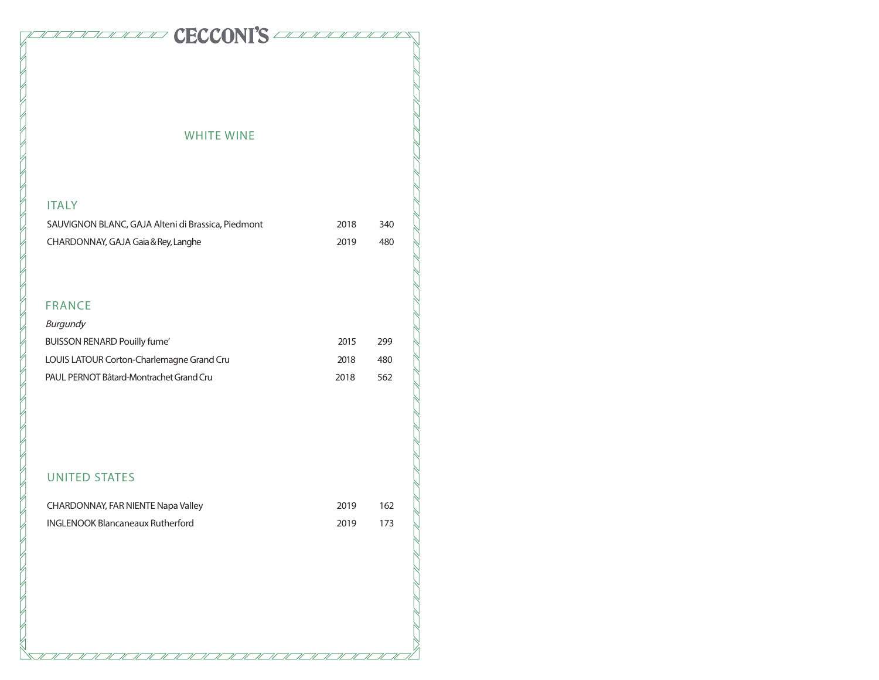## WHITE WINE

CECCONI'S AMAMANDER

## ITALY

| SAUVIGNON BLANC, GAJA Alteni di Brassica, Piedmont | 2018 | 340 |
|----------------------------------------------------|------|-----|
| CHARDONNAY, GAJA Gaia & Rey, Langhe                | 2019 | 480 |

# FRANCE

| Burgundy                                  |      |     |
|-------------------------------------------|------|-----|
| <b>BUISSON RENARD Pouilly fume'</b>       | 2015 | 299 |
| LOUIS LATOUR Corton-Charlemagne Grand Cru | 2018 | 480 |
| PAUL PERNOT Bâtard-Montrachet Grand Cru   | 2018 | 562 |

# UNITED STATES

| CHARDONNAY, FAR NIENTE Napa Valley | 2019 | -162  |
|------------------------------------|------|-------|
| INGLENOOK Blancaneaux Rutherford   | 2019 | - 173 |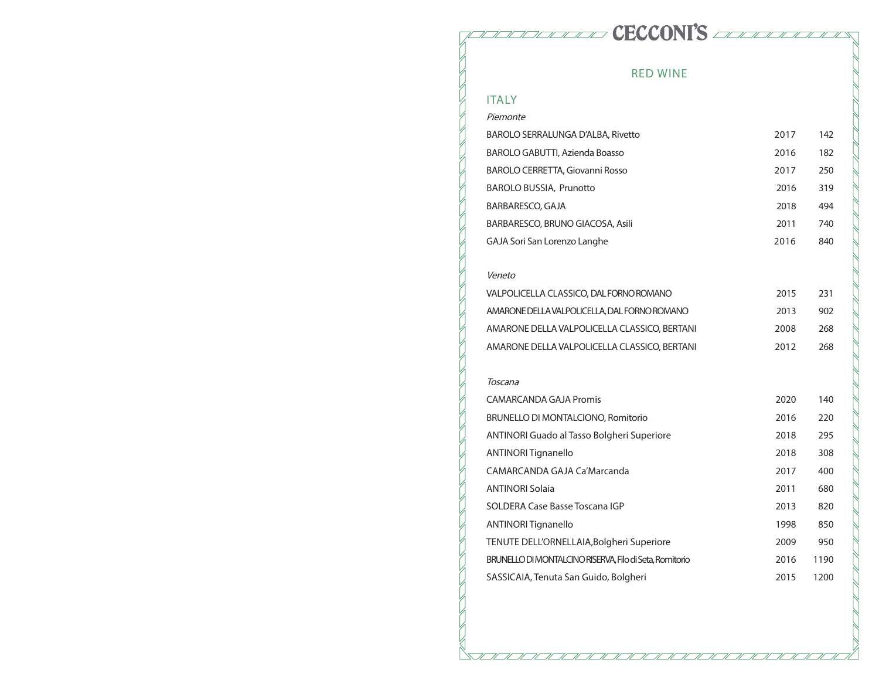# RED WINE

**PECCONI'S** Advised to the property of the CECCONI'S and the second that the second the second that the second of the second temperature of the second of the second of the second of the second of the second of the second o

# ITALY

| Piemonte                                                |      |      |
|---------------------------------------------------------|------|------|
| <b>BAROLO SERRALUNGA D'ALBA, Rivetto</b>                | 2017 | 142  |
| BAROLO GABUTTI, Azienda Boasso                          | 2016 | 182  |
| <b>BAROLO CERRETTA, Giovanni Rosso</b>                  | 2017 | 250  |
| <b>BAROLO BUSSIA, Prunotto</b>                          | 2016 | 319  |
| BARBARESCO, GAJA                                        | 2018 | 494  |
| BARBARESCO, BRUNO GIACOSA, Asili                        | 2011 | 740  |
| GAJA Sori San Lorenzo Langhe                            | 2016 | 840  |
| Veneto                                                  |      |      |
| VALPOLICELLA CLASSICO, DAL FORNO ROMANO                 | 2015 | 231  |
| AMARONE DELLA VALPOLICELLA, DAL FORNO ROMANO            | 2013 | 902  |
| AMARONE DELLA VALPOLICELLA CLASSICO, BERTANI            | 2008 | 268  |
| AMARONE DELLA VALPOLICELLA CLASSICO, BERTANI            | 2012 | 268  |
| Toscana                                                 |      |      |
| <b>CAMARCANDA GAJA Promis</b>                           | 2020 | 140  |
| BRUNELLO DI MONTALCIONO, Romitorio                      | 2016 | 220  |
| <b>ANTINORI Guado al Tasso Bolgheri Superiore</b>       | 2018 | 295  |
| <b>ANTINORI Tignanello</b>                              | 2018 | 308  |
| CAMARCANDA GAJA Ca'Marcanda                             | 2017 | 400  |
| <b>ANTINORI Solaia</b>                                  | 2011 | 680  |
| SOLDERA Case Basse Toscana IGP                          | 2013 | 820  |
| <b>ANTINORI Tignanello</b>                              | 1998 | 850  |
| TENUTE DELL'ORNELLAIA, Bolgheri Superiore               | 2009 | 950  |
| BRUNELLO DI MONTALCINO RISERVA, Filo di Seta, Romitorio | 2016 | 1190 |
| SASSICAIA, Tenuta San Guido, Bolgheri                   | 2015 | 1200 |
|                                                         |      |      |